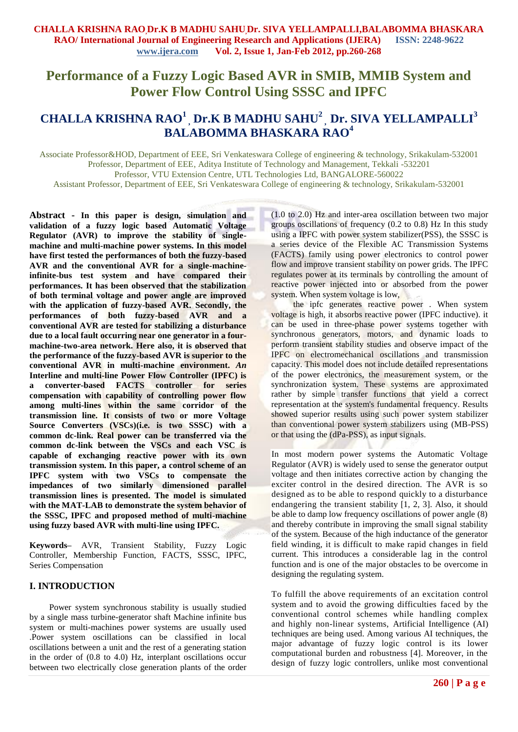# **Performance of a Fuzzy Logic Based AVR in SMIB, MMIB System and Power Flow Control Using SSSC and IPFC**

## **CHALLA KRISHNA RAO<sup>1</sup> , Dr.K B MADHU SAHU<sup>2</sup> , Dr. SIVA YELLAMPALLI<sup>3</sup> BALABOMMA BHASKARA RAO<sup>4</sup>**

Associate Professor&HOD, Department of EEE, Sri Venkateswara College of engineering & technology, Srikakulam-532001 Professor, Department of EEE, Aditya Institute of Technology and Management, Tekkali -532201 Professor, VTU Extension Centre, UTL Technologies Ltd, BANGALORE-560022

Assistant Professor, Department of EEE, Sri Venkateswara College of engineering & technology, Srikakulam-532001

**Abstract - In this paper is design, simulation and validation of a fuzzy logic based Automatic Voltage Regulator (AVR) to improve the stability of singlemachine and multi-machine power systems. In this model have first tested the performances of both the fuzzy-based AVR and the conventional AVR for a single-machineinfinite-bus test system and have compared their performances. It has been observed that the stabilization of both terminal voltage and power angle are improved with the application of fuzzy-based AVR. Secondly, the performances of both fuzzy-based AVR and a conventional AVR are tested for stabilizing a disturbance due to a local fault occurring near one generator in a fourmachine-two-area network. Here also, it is observed that the performance of the fuzzy-based AVR is superior to the conventional AVR in multi-machine environment.** *An*  **Interline and multi-line Power Flow Controller (IPFC) is a converter-based FACTS controller for series compensation with capability of controlling power flow among multi-lines within the same corridor of the transmission line. It consists of two or more Voltage Source Converters (VSCs)(i.e. is two SSSC) with a common dc-link. Real power can be transferred via the common dc-link between the VSCs and each VSC is capable of exchanging reactive power with its own transmission system. In this paper, a control scheme of an IPFC system with two VSCs to compensate the impedances of two similarly dimensioned parallel transmission lines is presented. The model is simulated with the MAT-LAB to demonstrate the system behavior of the SSSC, IPFC and proposed method of multi-machine using fuzzy based AVR with multi-line using IPFC.** 

**Keywords–** AVR, Transient Stability, Fuzzy Logic Controller, Membership Function, FACTS, SSSC, IPFC, Series Compensation

## **I. INTRODUCTION**

Power system synchronous stability is usually studied by a single mass turbine-generator shaft Machine infinite bus system or multi-machines power systems are usually used .Power system oscillations can be classified in local oscillations between a unit and the rest of a generating station in the order of (0.8 to 4.0) Hz, interplant oscillations occur between two electrically close generation plants of the order

(1.0 to 2.0) Hz and inter-area oscillation between two major groups oscillations of frequency (0.2 to 0.8) Hz In this study using a IPFC with power system stabilizer(PSS), the SSSC is a series device of the Flexible AC Transmission Systems (FACTS) family using power electronics to control power flow and improve transient stability on power grids. The IPFC regulates power at its terminals by controlling the amount of reactive power injected into or absorbed from the power system. When system voltage is low,

the ipfc generates reactive power. When system voltage is high, it absorbs reactive power (IPFC inductive). it can be used in three-phase power systems together with synchronous generators, motors, and dynamic loads to perform transient stability studies and observe impact of the IPFC on electromechanical oscillations and transmission capacity. This model does not include detailed representations of the power electronics, the measurement system, or the synchronization system. These systems are approximated rather by simple transfer functions that yield a correct representation at the system's fundamental frequency. Results showed superior results using such power system stabilizer than conventional power system stabilizers using (MB-PSS) or that using the (dPa-PSS), as input signals.

In most modern power systems the Automatic Voltage Regulator (AVR) is widely used to sense the generator output voltage and then initiates corrective action by changing the exciter control in the desired direction. The AVR is so designed as to be able to respond quickly to a disturbance endangering the transient stability [1, 2, 3]. Also, it should be able to damp low frequency oscillations of power angle (8) and thereby contribute in improving the small signal stability of the system. Because of the high inductance of the generator field winding, it is difficult to make rapid changes in field current. This introduces a considerable lag in the control function and is one of the major obstacles to be overcome in designing the regulating system.

To fulfill the above requirements of an excitation control system and to avoid the growing difficulties faced by the conventional control schemes while handling complex and highly non-linear systems, Artificial Intelligence (AI) techniques are being used. Among various AI techniques, the major advantage of fuzzy logic control is its lower computational burden and robustness [4]. Moreover, in the design of fuzzy logic controllers, unlike most conventional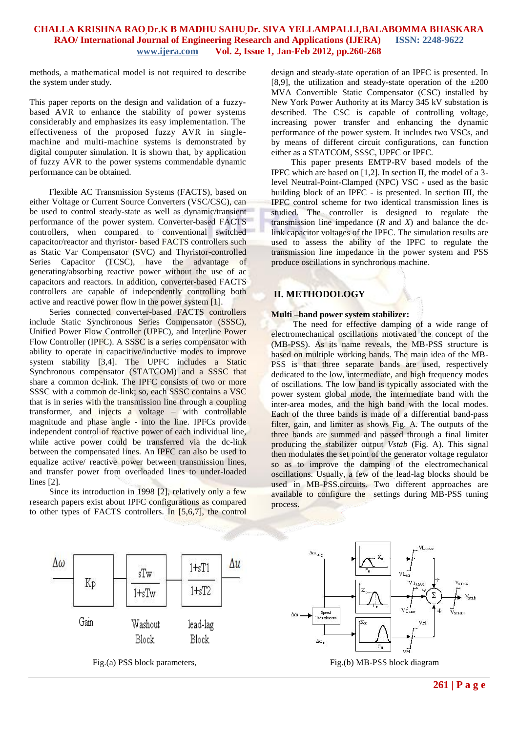methods, a mathematical model is not required to describe the system under study.

This paper reports on the design and validation of a fuzzybased AVR to enhance the stability of power systems considerably and emphasizes its easy implementation. The effectiveness of the proposed fuzzy AVR in singlemachine and multi-machine systems is demonstrated by digital computer simulation. It is shown that, by application of fuzzy AVR to the power systems commendable dynamic performance can be obtained.

Flexible AC Transmission Systems (FACTS), based on either Voltage or Current Source Converters (VSC/CSC), can be used to control steady-state as well as dynamic/transient performance of the power system. Converter-based FACTS controllers, when compared to conventional switched capacitor/reactor and thyristor- based FACTS controllers such as Static Var Compensator (SVC) and Thyristor-controlled Series Capacitor (TCSC), have the advantage of generating/absorbing reactive power without the use of ac capacitors and reactors. In addition, converter-based FACTS controllers are capable of independently controlling both active and reactive power flow in the power system [1].

Series connected converter-based FACTS controllers include Static Synchronous Series Compensator (SSSC), Unified Power Flow Controller (UPFC), and Interline Power Flow Controller (IPFC). A SSSC is a series compensator with ability to operate in capacitive/inductive modes to improve system stability [3,4]. The UPFC includes a Static Synchronous compensator (STATCOM) and a SSSC that share a common dc-link. The IPFC consists of two or more SSSC with a common dc-link; so, each SSSC contains a VSC that is in series with the transmission line through a coupling transformer, and injects a voltage – with controllable magnitude and phase angle - into the line. IPFCs provide independent control of reactive power of each individual line, while active power could be transferred via the dc-link between the compensated lines. An IPFC can also be used to equalize active/ reactive power between transmission lines, and transfer power from overloaded lines to under-loaded lines [2].

Since its introduction in 1998 [2], relatively only a few research papers exist about IPFC configurations as compared to other types of FACTS controllers. In [5,6,7], the control design and steady-state operation of an IPFC is presented. In [8,9], the utilization and steady-state operation of the  $\pm 200$ MVA Convertible Static Compensator (CSC) installed by New York Power Authority at its Marcy 345 kV substation is described. The CSC is capable of controlling voltage, increasing power transfer and enhancing the dynamic performance of the power system. It includes two VSCs, and by means of different circuit configurations, can function either as a STATCOM, SSSC, UPFC or IPFC.

This paper presents EMTP-RV based models of the IPFC which are based on [1,2]. In section II, the model of a 3 level Neutral-Point-Clamped (NPC) VSC - used as the basic building block of an IPFC - is presented. In section III, the IPFC control scheme for two identical transmission lines is studied. The controller is designed to regulate the transmission line impedance (*R* and *X*) and balance the dclink capacitor voltages of the IPFC. The simulation results are used to assess the ability of the IPFC to regulate the transmission line impedance in the power system and PSS produce oscillations in synchronous machine.

## **II. METHODOLOGY**

#### **Multi –band power system stabilizer:**

The need for effective damping of a wide range of electromechanical oscillations motivated the concept of the (MB-PSS). As its name reveals, the MB-PSS structure is based on multiple working bands. The main idea of the MB-PSS is that three separate bands are used, respectively dedicated to the low, intermediate, and high frequency modes of oscillations. The low band is typically associated with the power system global mode, the intermediate band with the inter-area modes, and the high band with the local modes. Each of the three bands is made of a differential band-pass filter, gain, and limiter as shows Fig. A. The outputs of the three bands are summed and passed through a final limiter producing the stabilizer output *Vstab* (Fig. A). This signal then modulates the set point of the generator voltage regulator so as to improve the damping of the electromechanical oscillations. Usually, a few of the lead-lag blocks should be used in MB-PSS.circuits. Two different approaches are available to configure the settings during MB-PSS tuning process.

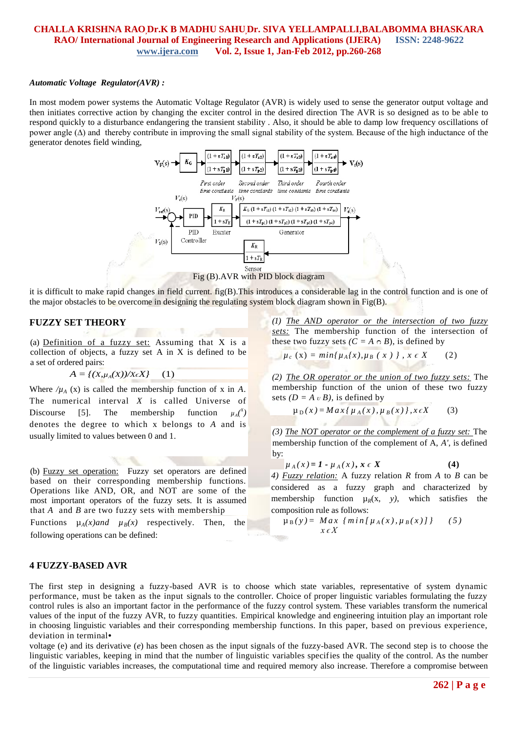#### *Automatic Voltage Regulator(AVR) :*

In most modem power systems the Automatic Voltage Regulator (AVR) is widely used to sense the generator output voltage and then initiates corrective action by changing the exciter control in the desired direction The AVR is so designed as to be able to respond quickly to a disturbance endangering the transient stability . Also, it should be able to damp low frequency oscillations of power angle (∆) and thereby contribute in improving the small signal stability of the system. Because of the high inductance of the generator denotes field winding,



it is difficult to make rapid changes in field current. fig(B).This introduces a considerable lag in the control function and is one of the major obstacles to be overcome in designing the regulating system block diagram shown in  $Fig(B)$ .

#### **FUZZY SET THEORY**

(a) Definition of a fuzzy set: Assuming that  $X$  is a collection of objects, a fuzzy set A in X is defined to be a set of ordered pairs:

۰

$$
A = \{(X, \mu_A(X))/X \in X\} \qquad (1)
$$

Where  $/\mu_A$  (x) is called the membership function of x in *A*. The numerical interval *X* is called Universe of Discourse [5]. The membership function *X )* denotes the degree to which x belongs to *A* and is usually limited to values between 0 and 1.

(b) Fuzzy set operation: Fuzzy set operators are defined based on their corresponding membership functions. Operations like AND, OR, and NOT are some of the most important operators of the fuzzy sets. It is assumed that *A* and *B* are two fuzzy sets with membership

Functions  $\mu_A(x)$ *and*  $\mu_B(x)$  respectively. Then, the following operations can be defined:

*(1) The AND operator or the intersection of two fuzzy sets:* The membership function of the intersection of these two fuzzy sets  $(C = A \cap B)$ , is defined by

$$
\mu_c(x) = min\{\mu_A(x), \mu_B(x)\}, x \in X \qquad (2)
$$

*(2) The OR operator or the union of two fuzzy sets:* The membership function of the union of these two fuzzy sets  $(D = A \cup B)$ , is defined by

$$
\mu_D(x) = Max\{ \mu_A(x), \mu_B(x) \}, x \in X \tag{3}
$$

*(3) The NOT operator or the complement of a fuzzy set:* The membership function of the complement of A, *A'*, is defined by:

 $\mu_A(x) = 1 - \mu_A(x), x \in X$  (4)

*4) Fuzzy relation:* A fuzzy relation *R* from *A* to *B* can be considered as a fuzzy graph and characterized by membership function  $\mu_R(x, y)$ , which satisfies the composition rule as follows:

$$
\mu_B(y) = Max \{ min[\mu_A(x), \mu_B(x)] \} \qquad (5)
$$

$$
x \in X
$$

## **4 FUZZY-BASED AVR**

The first step in designing a fuzzy-based AVR is to choose which state variables, representative of system dynamic performance, must be taken as the input signals to the controller. Choice of proper linguistic variables formulating the fuzzy control rules is also an important factor in the performance of the fuzzy control system. These variables transform the numerical values of the input of the fuzzy AVR, to fuzzy quantities. Empirical knowledge and engineering intuition play an important role in choosing linguistic variables and their corresponding membership functions. In this paper, based on previous experience, deviation in terminal**•**

voltage (e) and its derivative (*e*) has been chosen as the input signals of the fuzzy-based AVR. The second step is to choose the linguistic variables, keeping in mind that the number of linguistic variables specifies the quality of the control. As the number of the linguistic variables increases, the computational time and required memory also increase. Therefore a compromise between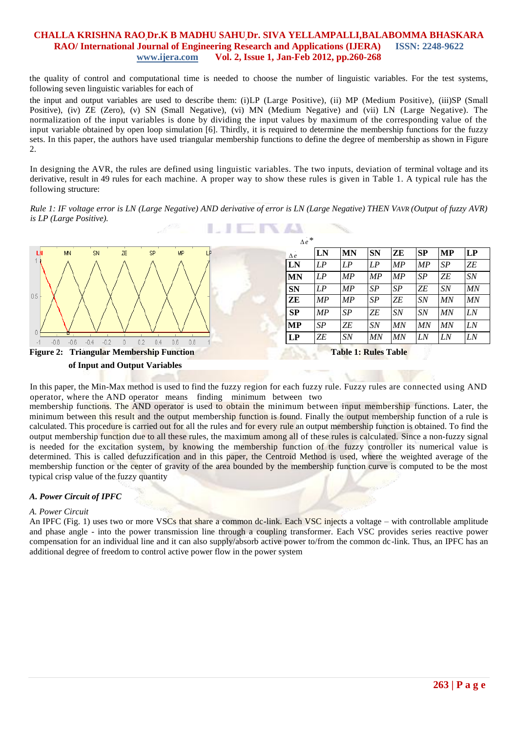the quality of control and computational time is needed to choose the number of linguistic variables. For the test systems, following seven linguistic variables for each of

the input and output variables are used to describe them: (i)LP (Large Positive), (ii) MP (Medium Positive), (iii)SP (Small Positive), (iv) ZE (Zero), (v) SN (Small Negative), (vi) MN (Medium Negative) and (vii) LN (Large Negative). The normalization of the input variables is done by dividing the input values by maximum of the corresponding value of the input variable obtained by open loop simulation [6]. Thirdly, it is required to determine the membership functions for the fuzzy sets. In this paper, the authors have used triangular membership functions to define the degree of membership as shown in Figure  $\mathcal{L}$ 

In designing the AVR, the rules are defined using linguistic variables. The two inputs, deviation of terminal voltage and its derivative, result in 49 rules for each machine. A proper way to show these rules is given in Table 1. A typical rule has the following structure:

*Rule 1: IF voltage error is LN (Large Negative) AND derivative of error is LN (Large Negative) THEN VAVR (Output of fuzzy AVR) is LP (Large Positive).*



In this paper, the Min-Max method is used to find the fuzzy region for each fuzzy rule. Fuzzy rules are connected using AND operator, where the AND operator means finding minimum between two

membership functions. The AND operator is used to obtain the minimum between input membership functions. Later, the minimum between this result and the output membership function is found. Finally the output membership function of a rule is calculated. This procedure is carried out for all the rules and for every rule an output membership function is obtained. To find the output membership function due to all these rules, the maximum among all of these rules is calculated. Since a non-fuzzy signal is needed for the excitation system, by knowing the membership function of the fuzzy controller its numerical value is determined. This is called defuzzification and in this paper, the Centroid Method is used, where the weighted average of the membership function or the center of gravity of the area bounded by the membership function curve is computed to be the most typical crisp value of the fuzzy quantity

## *A. Power Circuit of IPFC*

#### *A. Power Circuit*

An IPFC (Fig. 1) uses two or more VSCs that share a common dc-link. Each VSC injects a voltage – with controllable amplitude and phase angle - into the power transmission line through a coupling transformer. Each VSC provides series reactive power compensation for an individual line and it can also supply/absorb active power to/from the common dc-link. Thus, an IPFC has an additional degree of freedom to control active power flow in the power system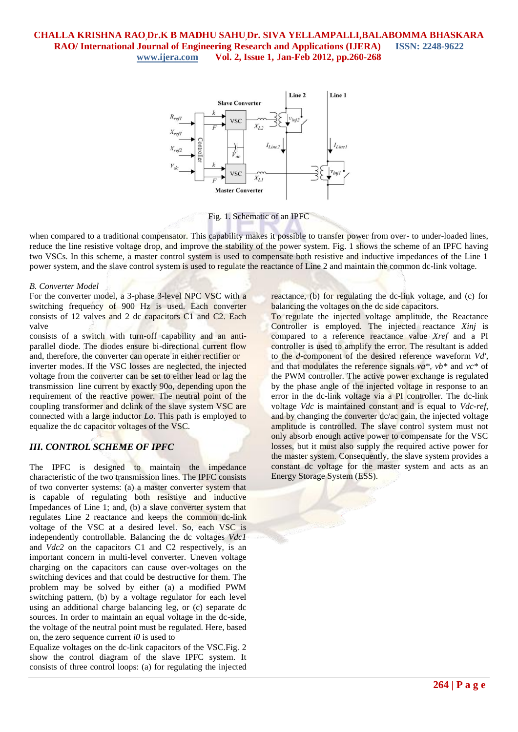

Fig. 1. Schematic of an IPFC

when compared to a traditional compensator. This capability makes it possible to transfer power from over- to under-loaded lines, reduce the line resistive voltage drop, and improve the stability of the power system. Fig. 1 shows the scheme of an IPFC having two VSCs. In this scheme, a master control system is used to compensate both resistive and inductive impedances of the Line 1 power system, and the slave control system is used to regulate the reactance of Line 2 and maintain the common dc-link voltage.

#### *B. Converter Model*

For the converter model, a 3-phase 3-level NPC VSC with a switching frequency of 900 Hz is used. Each converter consists of 12 valves and 2 dc capacitors C1 and C2. Each valve

consists of a switch with turn-off capability and an antiparallel diode. The diodes ensure bi-directional current flow and, therefore, the converter can operate in either rectifier or inverter modes. If the VSC losses are neglected, the injected voltage from the converter can be set to either lead or lag the transmission line current by exactly 90o, depending upon the requirement of the reactive power. The neutral point of the coupling transformer and dclink of the slave system VSC are connected with a large inductor *Lo*. This path is employed to equalize the dc capacitor voltages of the VSC.

## *III. CONTROL SCHEME OF IPFC*

The IPFC is designed to maintain the impedance characteristic of the two transmission lines. The IPFC consists of two converter systems: (a) a master converter system that is capable of regulating both resistive and inductive Impedances of Line 1; and, (b) a slave converter system that regulates Line 2 reactance and keeps the common dc-link voltage of the VSC at a desired level. So, each VSC is independently controllable. Balancing the dc voltages *Vdc1*  and *Vdc2* on the capacitors C1 and C2 respectively, is an important concern in multi-level converter. Uneven voltage charging on the capacitors can cause over-voltages on the switching devices and that could be destructive for them. The problem may be solved by either (a) a modified PWM switching pattern, (b) by a voltage regulator for each level using an additional charge balancing leg, or (c) separate dc sources. In order to maintain an equal voltage in the dc-side, the voltage of the neutral point must be regulated. Here, based on, the zero sequence current *i0* is used to

Equalize voltages on the dc-link capacitors of the VSC.Fig. 2 show the control diagram of the slave IPFC system. It consists of three control loops: (a) for regulating the injected reactance, (b) for regulating the dc-link voltage, and (c) for balancing the voltages on the dc side capacitors.

To regulate the injected voltage amplitude, the Reactance Controller is employed. The injected reactance *Xinj* is compared to a reference reactance value *Xref* and a PI controller is used to amplify the error. The resultant is added to the *d*-component of the desired reference waveform *Vd'*, and that modulates the reference signals *va\*, vb\** and *vc\** of the PWM controller. The active power exchange is regulated by the phase angle of the injected voltage in response to an error in the dc-link voltage via a PI controller. The dc-link voltage *Vdc* is maintained constant and is equal to *Vdc-ref*, and by changing the converter dc/ac gain, the injected voltage amplitude is controlled. The slave control system must not only absorb enough active power to compensate for the VSC losses, but it must also supply the required active power for the master system. Consequently, the slave system provides a constant dc voltage for the master system and acts as an Energy Storage System (ESS).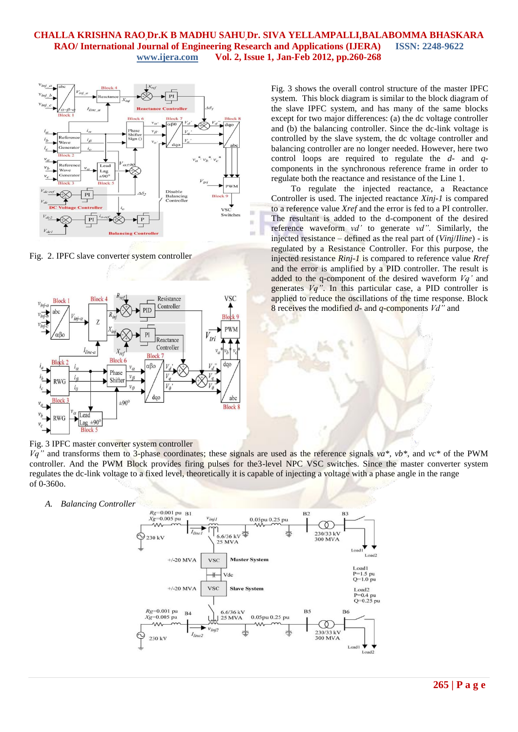

Fig. 2. IPFC slave converter system controller





*Vq"* and transforms them to 3-phase coordinates; these signals are used as the reference signals *va\*, vb\*,* and *vc\** of the PWM controller. And the PWM Block provides firing pulses for the3-level NPC VSC switches. Since the master converter system regulates the dc-link voltage to a fixed level, theoretically it is capable of injecting a voltage with a phase angle in the range of 0-360o.

*A. Balancing Controller*



Fig. 3 shows the overall control structure of the master IPFC system. This block diagram is similar to the block diagram of the slave IPFC system, and has many of the same blocks except for two major differences: (a) the dc voltage controller and (b) the balancing controller. Since the dc-link voltage is controlled by the slave system, the dc voltage controller and balancing controller are no longer needed. However, here two control loops are required to regulate the *d-* and *q*components in the synchronous reference frame in order to regulate both the reactance and resistance of the Line 1.

To regulate the injected reactance, a Reactance Controller is used. The injected reactance *Xinj-1* is compared to a reference value *Xref* and the error is fed to a PI controller. The resultant is added to the d-component of the desired reference waveform *vd'* to generate *vd".* Similarly, the injected resistance – defined as the real part of (*Vinj*/*Iline*) - is regulated by a Resistance Controller. For this purpose, the injected resistance *Rinj-1* is compared to reference value *Rref*  and the error is amplified by a PID controller. The result is added to the q-component of the desired waveform *Vq'* and generates *Vq"*. In this particular case, a PID controller is applied to reduce the oscillations of the time response. Block 8 receives the modified *d-* and *q-*components *Vd"* and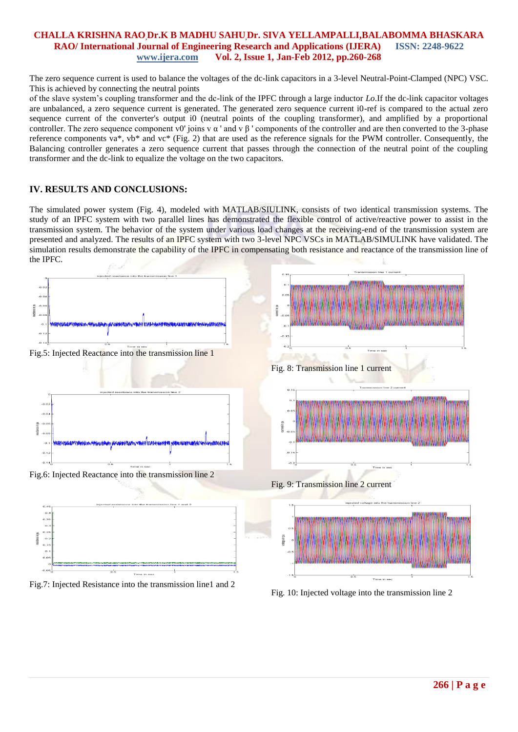The zero sequence current is used to balance the voltages of the dc-link capacitors in a 3-level Neutral-Point-Clamped (NPC) VSC. This is achieved by connecting the neutral points

of the slave system's coupling transformer and the dc-link of the IPFC through a large inductor *Lo*.If the dc-link capacitor voltages are unbalanced, a zero sequence current is generated. The generated zero sequence current i0-ref is compared to the actual zero sequence current of the converter's output i0 (neutral points of the coupling transformer), and amplified by a proportional controller. The zero sequence component v0' joins v  $\alpha$  ' and v  $\beta$  ' components of the controller and are then converted to the 3-phase reference components va\*, vb\* and vc\* (Fig. 2) that are used as the reference signals for the PWM controller. Consequently, the Balancing controller generates a zero sequence current that passes through the connection of the neutral point of the coupling transformer and the dc-link to equalize the voltage on the two capacitors.

## **IV. RESULTS AND CONCLUSIONS:**

The simulated power system (Fig. 4), modeled with MATLAB/SIULINK, consists of two identical transmission systems. The study of an IPFC system with two parallel lines has demonstrated the flexible control of active/reactive power to assist in the transmission system. The behavior of the system under various load changes at the receiving-end of the transmission system are presented and analyzed. The results of an IPFC system with two 3-level NPC VSCs in MATLAB/SIMULINK have validated. The simulation results demonstrate the capability of the IPFC in compensating both resistance and reactance of the transmission line of the IPFC.





Fig. 10: Injected voltage into the transmission line 2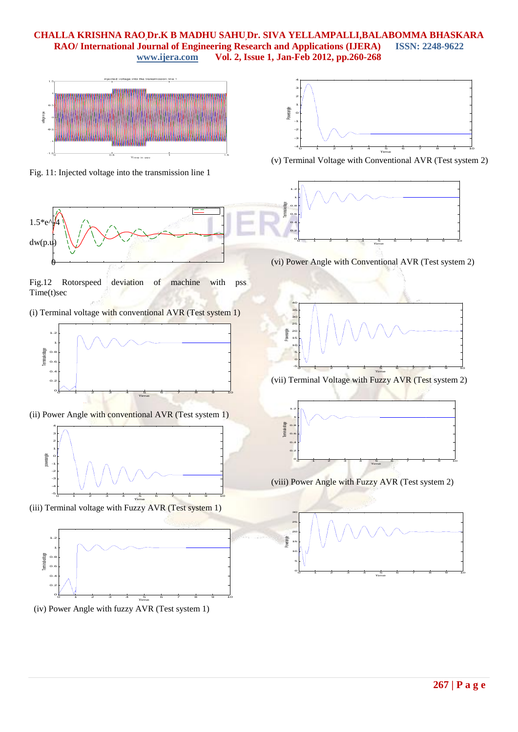

Fig. 11: Injected voltage into the transmission line 1



Fig.12 Rotorspeed deviation of machine with pss Time(t)sec

(i) Terminal voltage with conventional AVR (Test system 1)



(ii) Power Angle with conventional AVR (Test system 1)



(iii) Terminal voltage with Fuzzy AVR (Test system 1)



(iv) Power Angle with fuzzy AVR (Test system 1)



(v) Terminal Voltage with Conventional AVR (Test system 2)



(vi) Power Angle with Conventional AVR (Test system 2)



(vii) Terminal Voltage with Fuzzy AVR (Test system 2)



(viii) Power Angle with Fuzzy AVR (Test system 2)